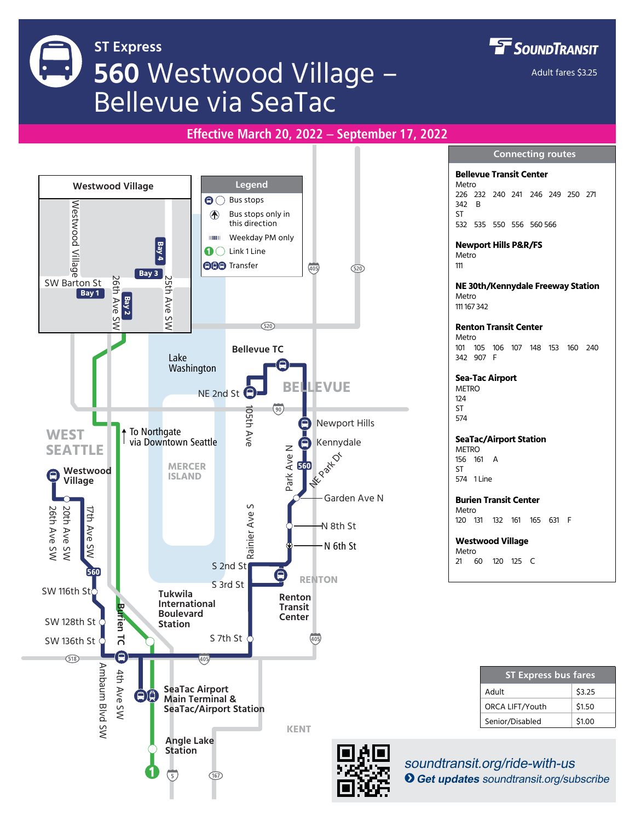**FF** SOUNDTRANSIT **ST Express 560** Westwood Village – Adult fares \$3.25 Bellevue via SeaTac **Effective March 20, 2022 – September 17, 2022Connecting routes Bellevue Transit Center Legend** Metro **Westwood Village** 226 232 240 241 246 249 250 271 SW Barton St  $\bigcirc$  Bus stops Westwood Village 342 B Bus stops only in ST A this direction 532 535 550 556 560 566 **IIIIIII** Weekday PM only **Bay 4 Newport Hills P&R/FS**  $\mathbf{O}$  Link 1 Line **Metro OD** Transfer 111  $(405)$  $\overline{520}$ **Bay 3** 26th Ave SW 26th Ave SW 25th Ave SW 25th Ave **NE 30th/Kennydale Freeway Station Bay 1** Metro **Bay 2** 111 167 342 SW  $(520)$ **Renton Transit Center** Metro 101 105 106 107 148 153 160 240 **Bellevue TC** Lake 342 907 F Washington **Sea-Tac Airport BELLEVUE METRO**  $124$  $\left( \overline{90}\right)$ ST 105th Ave 105th Ave 574 Newport Hills ⊟ To Northgate **WEST SeaTac/Airport Station** via Downtown Seattle  $\Box$ Kennydale **SEATTLE** Z METRO<br>156 16 Park Ave N Park Ave **NE** Park Dr 161 A **MERCER** 560 **Westwood ST** A **ISLAND** 574 1 Line **Village** Garden Ave N **Burien Transit Center**  $\sim$ TH Ave SW 1951<br>20th Ave SW 17th Ave SW 20th Ave SW 17th Ave SW 17th Ave SW 17th Ave SW 17th Ave SW 17th Ave SW 17th Ave SW 1 Rainier Ave S Metro Rainier Ave 120 131 132 161 165 631 F N 8th St **Westwood Village** N 6th St **Metro** 21 60 120 125 C S 2nd St 560 ۵ **RENTON** S 3rd St **Tukwila Renton International**   $\overline{\mathbf{u}}$ **Transit Burien TC Boulevard Center** SW 128th St ieu **Station** ನ S 7th St SW 136th St 40 Ē  $(518)$ Ambaum Blvd SW Ambaum Blvd SW 4th Ave SW 4th Ave SW **ST Express bus fares SeaTac Airport**  Adult \$3.25  $\left( \square \right)$ ä **Main Terminal &**  ORCA LIFT/Youth \$1.50 **SeaTac/Airport Station** Senior/Disabled \$1.00 **KENT Angle Lake Station** soundtransit.org/ride-with-us  $\left(\overline{167}\right)$ B**Get updates** soundtransit.org/subscribe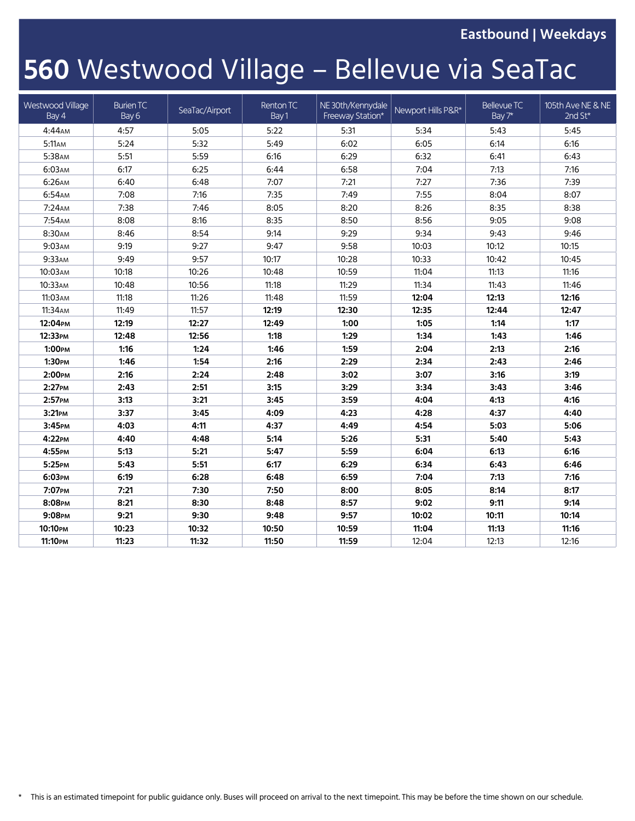**Eastbound | Weekdays**

# **560** Westwood Village – Bellevue via SeaTac

| Westwood Village<br>Bay 4 | <b>Burien TC</b><br>Bay 6 | SeaTac/Airport | Renton TC<br>Bay 1 | NE 30th/Kennydale<br>Freeway Station* | Newport Hills P&R* | Bellevue TC<br>Bay 7* | 105th Ave NE & NE<br>2nd St* |
|---------------------------|---------------------------|----------------|--------------------|---------------------------------------|--------------------|-----------------------|------------------------------|
| $4:44$ AM                 | 4:57                      | 5:05           | 5:22               | 5:31                                  | 5:34               | 5:43                  | 5:45                         |
| 5:11AM                    | 5:24                      | 5:32           | 5:49               | 6:02                                  | 6:05               | 6:14                  | 6:16                         |
| 5:38AM                    | 5:51                      | 5:59           | 6:16               | 6:29                                  | 6:32               | 6:41                  | 6:43                         |
| 6:03AM                    | 6:17                      | 6:25           | 6:44               | 6:58                                  | 7:04               | 7:13                  | 7:16                         |
| 6:26AM                    | 6:40                      | 6:48           | 7:07               | 7:21                                  | 7:27               | 7:36                  | 7:39                         |
| 6:54AM                    | 7:08                      | 7:16           | 7:35               | 7:49                                  | 7:55               | 8:04                  | 8:07                         |
| 7:24AM                    | 7:38                      | 7:46           | 8:05               | 8:20                                  | 8:26               | 8:35                  | 8:38                         |
| 7:54AM                    | 8:08                      | 8:16           | 8:35               | 8:50                                  | 8:56               | 9:05                  | 9:08                         |
| 8:30AM                    | 8:46                      | 8:54           | 9:14               | 9:29                                  | 9:34               | 9:43                  | 9:46                         |
| 9:03AM                    | 9:19                      | 9:27           | 9:47               | 9:58                                  | 10:03              | 10:12                 | 10:15                        |
| 9:33AM                    | 9:49                      | 9:57           | 10:17              | 10:28                                 | 10:33              | 10:42                 | 10:45                        |
| 10:03 АМ                  | 10:18                     | 10:26          | 10:48              | 10:59                                 | 11:04              | 11:13                 | 11:16                        |
| 10:33АМ                   | 10:48                     | 10:56          | 11:18              | 11:29                                 | 11:34              | 11:43                 | 11:46                        |
| 11:03АМ                   | 11:18                     | 11:26          | 11:48              | 11:59                                 | 12:04              | 12:13                 | 12:16                        |
| 11:34AM                   | 11:49                     | 11:57          | 12:19              | 12:30                                 | 12:35              | 12:44                 | 12:47                        |
| 12:04PM                   | 12:19                     | 12:27          | 12:49              | 1:00                                  | 1:05               | 1:14                  | 1:17                         |
| 12:33PM                   | 12:48                     | 12:56          | 1:18               | 1:29                                  | 1:34               | 1:43                  | 1:46                         |
| 1:00PM                    | 1:16                      | 1:24           | 1:46               | 1:59                                  | 2:04               | 2:13                  | 2:16                         |
| 1:30PM                    | 1:46                      | 1:54           | 2:16               | 2:29                                  | 2:34               | 2:43                  | 2:46                         |
| 2:00PM                    | 2:16                      | 2:24           | 2:48               | 3:02                                  | 3:07               | 3:16                  | 3:19                         |
| 2:27PM                    | 2:43                      | 2:51           | 3:15               | 3:29                                  | 3:34               | 3:43                  | 3:46                         |
| 2:57PM                    | 3:13                      | 3:21           | 3:45               | 3:59                                  | 4:04               | 4:13                  | 4:16                         |
| 3:21PM                    | 3:37                      | 3:45           | 4:09               | 4:23                                  | 4:28               | 4:37                  | 4:40                         |
| 3:45рм                    | 4:03                      | 4:11           | 4:37               | 4:49                                  | 4:54               | 5:03                  | 5:06                         |
| 4:22PM                    | 4:40                      | 4:48           | 5:14               | 5:26                                  | 5:31               | 5:40                  | 5:43                         |
| 4:55PM                    | 5:13                      | 5:21           | 5:47               | 5:59                                  | 6:04               | 6:13                  | 6:16                         |
| 5:25PM                    | 5:43                      | 5:51           | 6:17               | 6:29                                  | 6:34               | 6:43                  | 6:46                         |
| 6:03PM                    | 6:19                      | 6:28           | 6:48               | 6:59                                  | 7:04               | 7:13                  | 7:16                         |
| 7:07PM                    | 7:21                      | 7:30           | 7:50               | 8:00                                  | 8:05               | 8:14                  | 8:17                         |
| 8:08PM                    | 8:21                      | 8:30           | 8:48               | 8:57                                  | 9:02               | 9:11                  | 9:14                         |
| 9:08PM                    | 9:21                      | 9:30           | 9:48               | 9:57                                  | 10:02              | 10:11                 | 10:14                        |
| 10:10рм                   | 10:23                     | 10:32          | 10:50              | 10:59                                 | 11:04              | 11:13                 | 11:16                        |
| <b>11:10</b> РМ           | 11:23                     | 11:32          | 11:50              | 11:59                                 | 12:04              | 12:13                 | 12:16                        |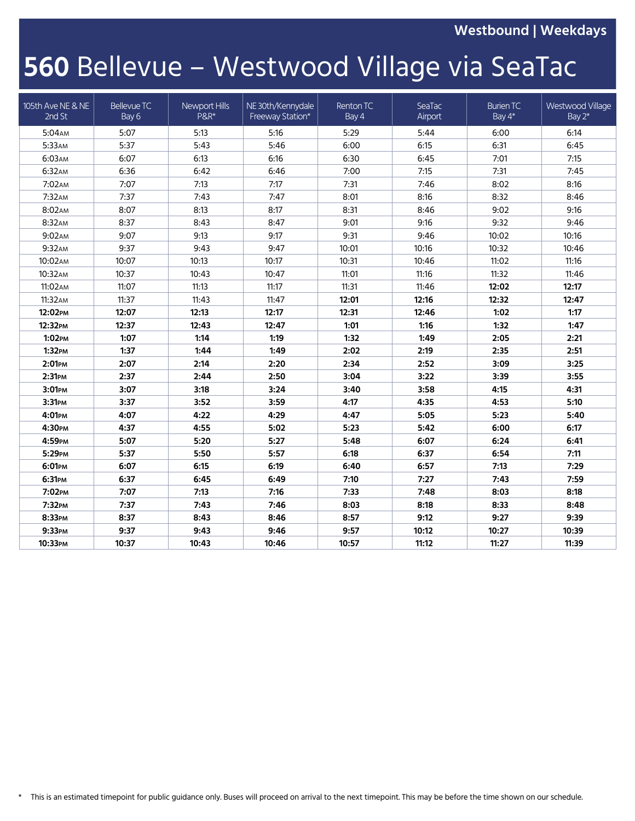**Westbound | Weekdays**

## **560** Bellevue – Westwood Village via SeaTac

| 105th Ave NE & NE<br>2nd St | Bellevue TC<br>Bay 6 | Newport Hills<br><b>P&amp;R*</b> | NE 30th/Kennydale<br>Freeway Station* | Renton TC<br>Bay 4 | SeaTac<br>Airport | <b>Burien TC</b><br>Bay 4* | Westwood Village<br>Bay 2* |
|-----------------------------|----------------------|----------------------------------|---------------------------------------|--------------------|-------------------|----------------------------|----------------------------|
| 5:04AM                      | 5:07                 | 5:13                             | 5:16                                  | 5:29               | 5:44              | 6:00                       | 6:14                       |
| 5:33AM                      | 5:37                 | 5:43                             | 5:46                                  | 6:00               | 6:15              | 6:31                       | 6:45                       |
| 6:03AM                      | 6:07                 | 6:13                             | 6:16                                  | 6:30               | 6:45              | 7:01                       | 7:15                       |
| 6:32AM                      | 6:36                 | 6:42                             | 6:46                                  | 7:00               | 7:15              | 7:31                       | 7:45                       |
| 7:02AM                      | 7:07                 | 7:13                             | 7:17                                  | 7:31               | 7:46              | 8:02                       | 8:16                       |
| 7:32AM                      | 7:37                 | 7:43                             | 7:47                                  | 8:01               | 8:16              | 8:32                       | 8:46                       |
| 8:02AM                      | 8:07                 | 8:13                             | 8:17                                  | 8:31               | 8:46              | 9:02                       | 9:16                       |
| 8:32AM                      | 8:37                 | 8:43                             | 8:47                                  | 9:01               | 9:16              | 9:32                       | 9:46                       |
| 9:02AM                      | 9:07                 | 9:13                             | 9:17                                  | 9:31               | 9:46              | 10:02                      | 10:16                      |
| 9:32AM                      | 9:37                 | 9:43                             | 9:47                                  | 10:01              | 10:16             | 10:32                      | 10:46                      |
| 10:02AM                     | 10:07                | 10:13                            | 10:17                                 | 10:31              | 10:46             | 11:02                      | 11:16                      |
| 10:32AM                     | 10:37                | 10:43                            | 10:47                                 | 11:01              | 11:16             | 11:32                      | 11:46                      |
| 11:02AM                     | 11:07                | 11:13                            | 11:17                                 | 11:31              | 11:46             | 12:02                      | 12:17                      |
| 11:32AM                     | 11:37                | 11:43                            | 11:47                                 | 12:01              | 12:16             | 12:32                      | 12:47                      |
| 12:02PM                     | 12:07                | 12:13                            | 12:17                                 | 12:31              | 12:46             | 1:02                       | 1:17                       |
| 12:32PM                     | 12:37                | 12:43                            | 12:47                                 | 1:01               | 1:16              | 1:32                       | 1:47                       |
| 1:02PM                      | 1:07                 | 1:14                             | 1:19                                  | 1:32               | 1:49              | 2:05                       | 2:21                       |
| $1:32$ PM                   | 1:37                 | 1:44                             | 1:49                                  | 2:02               | 2:19              | 2:35                       | 2:51                       |
| 2:01PM                      | 2:07                 | 2:14                             | 2:20                                  | 2:34               | 2:52              | 3:09                       | 3:25                       |
| 2:31 <sub>PM</sub>          | 2:37                 | 2:44                             | 2:50                                  | 3:04               | 3:22              | 3:39                       | 3:55                       |
| 3:01PM                      | 3:07                 | 3:18                             | 3:24                                  | 3:40               | 3:58              | 4:15                       | 4:31                       |
| 3:31PM                      | 3:37                 | 3:52                             | 3:59                                  | 4:17               | 4:35              | 4:53                       | 5:10                       |
| 4:01PM                      | 4:07                 | 4:22                             | 4:29                                  | 4:47               | 5:05              | 5:23                       | 5:40                       |
| 4:30рм                      | 4:37                 | 4:55                             | 5:02                                  | 5:23               | 5:42              | 6:00                       | 6:17                       |
| 4:59PM                      | 5:07                 | 5:20                             | 5:27                                  | 5:48               | 6:07              | 6:24                       | 6:41                       |
| 5:29PM                      | 5:37                 | 5:50                             | 5:57                                  | 6:18               | 6:37              | 6:54                       | 7:11                       |
| 6:01PM                      | 6:07                 | 6:15                             | 6:19                                  | 6:40               | 6:57              | 7:13                       | 7:29                       |
| 6:31PM                      | 6:37                 | 6:45                             | 6:49                                  | 7:10               | 7:27              | 7:43                       | 7:59                       |
| 7:02PM                      | 7:07                 | 7:13                             | 7:16                                  | 7:33               | 7:48              | 8:03                       | 8:18                       |
| 7:32PM                      | 7:37                 | 7:43                             | 7:46                                  | 8:03               | 8:18              | 8:33                       | 8:48                       |
| 8:33PM                      | 8:37                 | 8:43                             | 8:46                                  | 8:57               | 9:12              | 9:27                       | 9:39                       |
| 9:33PM                      | 9:37                 | 9:43                             | 9:46                                  | 9:57               | 10:12             | 10:27                      | 10:39                      |
| 10:33рм                     | 10:37                | 10:43                            | 10:46                                 | 10:57              | 11:12             | 11:27                      | 11:39                      |